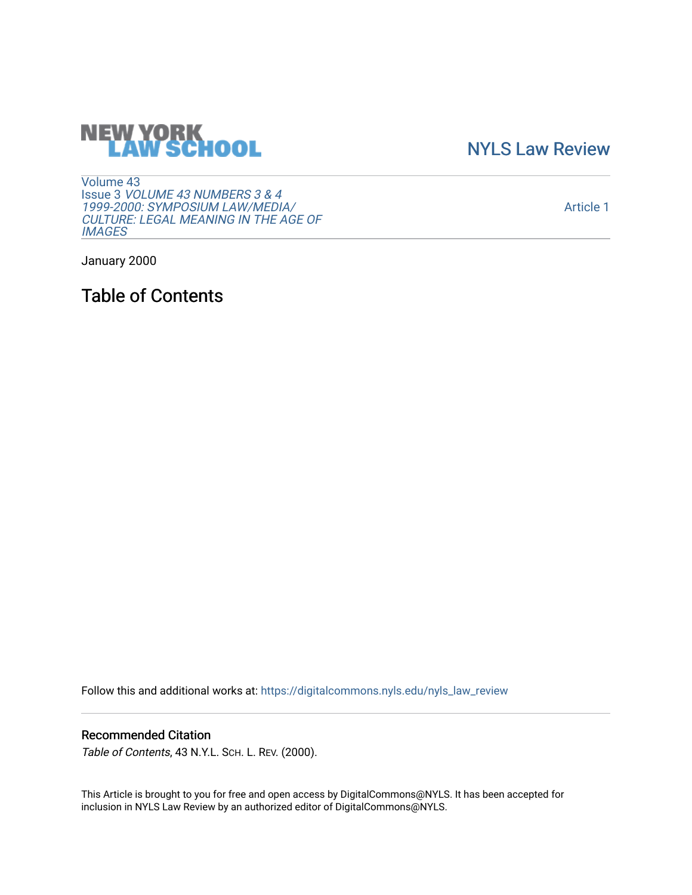# **NEW YORK<br>LAW SCHOOL**

[NYLS Law Review](https://digitalcommons.nyls.edu/nyls_law_review) 

[Volume 43](https://digitalcommons.nyls.edu/nyls_law_review/vol43) Issue 3 [VOLUME 43 NUMBERS 3 & 4](https://digitalcommons.nyls.edu/nyls_law_review/vol43/iss3)  [1999-2000: SYMPOSIUM LAW/MEDIA/](https://digitalcommons.nyls.edu/nyls_law_review/vol43/iss3) [CULTURE: LEGAL MEANING IN THE AGE OF](https://digitalcommons.nyls.edu/nyls_law_review/vol43/iss3) **[IMAGES](https://digitalcommons.nyls.edu/nyls_law_review/vol43/iss3)** 

[Article 1](https://digitalcommons.nyls.edu/nyls_law_review/vol43/iss3/1) 

January 2000

Table of Contents

Follow this and additional works at: [https://digitalcommons.nyls.edu/nyls\\_law\\_review](https://digitalcommons.nyls.edu/nyls_law_review?utm_source=digitalcommons.nyls.edu%2Fnyls_law_review%2Fvol43%2Fiss3%2F1&utm_medium=PDF&utm_campaign=PDFCoverPages) 

#### Recommended Citation

Table of Contents, 43 N.Y.L. SCH. L. REV. (2000).

This Article is brought to you for free and open access by DigitalCommons@NYLS. It has been accepted for inclusion in NYLS Law Review by an authorized editor of DigitalCommons@NYLS.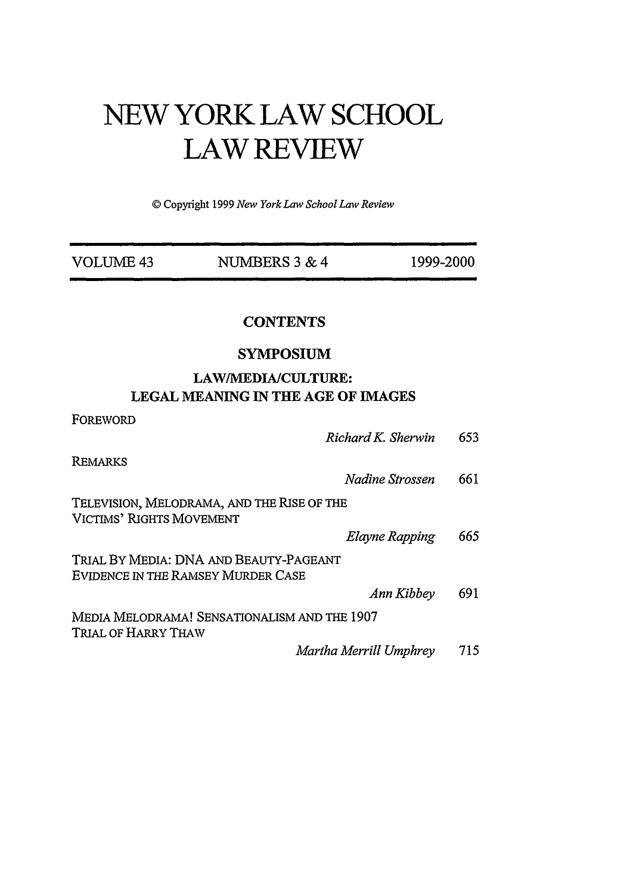## **NEW YORK LAW SCHOOL LAW REVIEW**

© Copyright 1999 *New YorkLaw SchoolLaw Review*

| VOLUME 43                          | NUMBERS 3 & 4                                                   | 1999-2000 |  |
|------------------------------------|-----------------------------------------------------------------|-----------|--|
|                                    | <b>CONTENTS</b>                                                 |           |  |
|                                    | <b>SYMPOSIUM</b>                                                |           |  |
|                                    | LAW/MEDIA/CULTURE:<br><b>LEGAL MEANING IN THE AGE OF IMAGES</b> |           |  |
| FOREWORD                           | Richard K. Sherwin                                              | 653       |  |
| REMARKS                            | Nadine Strossen                                                 | 661       |  |
| <b>VICTIMS' RIGHTS MOVEMENT</b>    | TELEVISION, MELODRAMA, AND THE RISE OF THE                      |           |  |
|                                    | Elayne Rapping                                                  | 665       |  |
| EVIDENCE IN THE RAMSEY MURDER CASE | TRIAL BY MEDIA: DNA AND BEAUTY-PAGEANT                          |           |  |
|                                    | Ann Kibbey                                                      | 691       |  |
| TRIAL OF HARRY THAW                | MEDIA MELODRAMA! SENSATIONALISM AND THE 1907                    |           |  |
|                                    | Martha Merrill Umphrey                                          | 715       |  |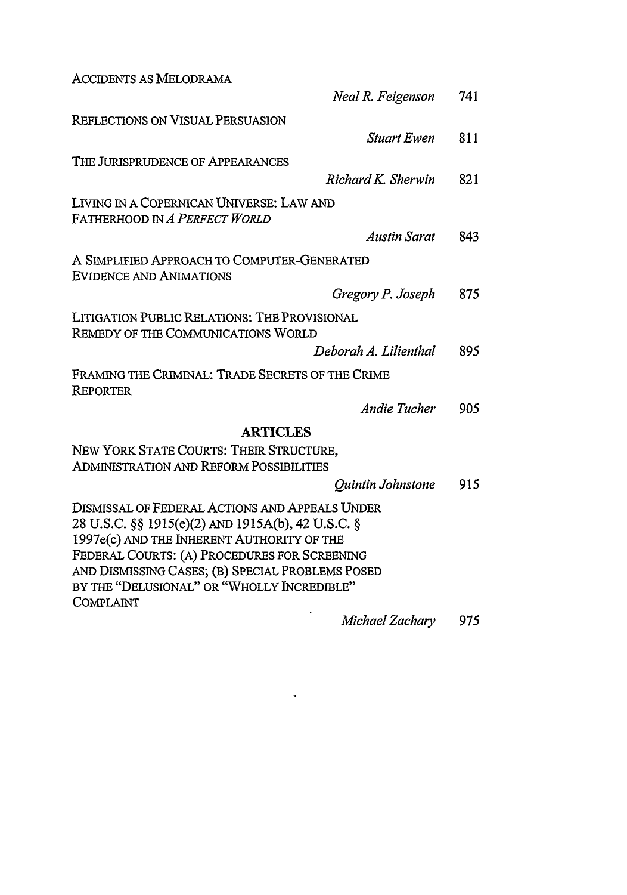| <b>ACCIDENTS AS MELODRAMA</b>                                                                                                                                                                                                                                                                                    |     |
|------------------------------------------------------------------------------------------------------------------------------------------------------------------------------------------------------------------------------------------------------------------------------------------------------------------|-----|
| Neal R. Feigenson                                                                                                                                                                                                                                                                                                | 741 |
| REFLECTIONS ON VISUAL PERSUASION                                                                                                                                                                                                                                                                                 |     |
| <b>Stuart Ewen</b>                                                                                                                                                                                                                                                                                               | 811 |
| THE JURISPRUDENCE OF APPEARANCES                                                                                                                                                                                                                                                                                 |     |
| Richard K. Sherwin                                                                                                                                                                                                                                                                                               | 821 |
| LIVING IN A COPERNICAN UNIVERSE: LAW AND                                                                                                                                                                                                                                                                         |     |
| FATHERHOOD IN A PERFECT WORLD                                                                                                                                                                                                                                                                                    |     |
| <b>Austin Sarat</b>                                                                                                                                                                                                                                                                                              | 843 |
| A SIMPLIFIED APPROACH TO COMPUTER-GENERATED<br><b>EVIDENCE AND ANIMATIONS</b>                                                                                                                                                                                                                                    |     |
| Gregory P. Joseph                                                                                                                                                                                                                                                                                                | 875 |
| LITIGATION PUBLIC RELATIONS: THE PROVISIONAL<br>REMEDY OF THE COMMUNICATIONS WORLD                                                                                                                                                                                                                               |     |
| Deborah A. Lilienthal                                                                                                                                                                                                                                                                                            | 895 |
| FRAMING THE CRIMINAL: TRADE SECRETS OF THE CRIME<br><b>REPORTER</b>                                                                                                                                                                                                                                              |     |
| Andie Tucher                                                                                                                                                                                                                                                                                                     | 905 |
| <b>ARTICLES</b>                                                                                                                                                                                                                                                                                                  |     |
| NEW YORK STATE COURTS: THEIR STRUCTURE,<br><b>ADMINISTRATION AND REFORM POSSIBILITIES</b>                                                                                                                                                                                                                        |     |
| Quintin Johnstone                                                                                                                                                                                                                                                                                                | 915 |
| DISMISSAL OF FEDERAL ACTIONS AND APPEALS UNDER<br>28 U.S.C. §§ 1915(e)(2) AND 1915A(b), 42 U.S.C. §<br>1997e(c) AND THE INHERENT AUTHORITY OF THE<br>FEDERAL COURTS: (A) PROCEDURES FOR SCREENING<br>AND DISMISSING CASES; (B) SPECIAL PROBLEMS POSED<br>BY THE "DELUSIONAL" OR "WHOLLY INCREDIBLE"<br>COMPLAINT |     |
| Michael Zachary                                                                                                                                                                                                                                                                                                  | 975 |

 $\sim 10^{-10}$